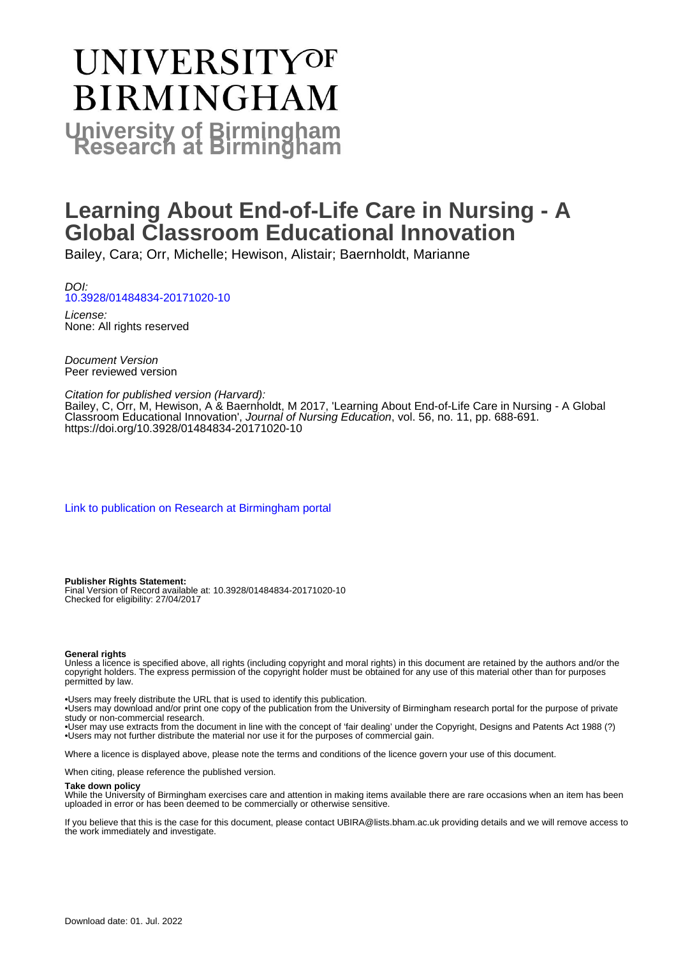# UNIVERSITYOF **BIRMINGHAM University of Birmingham**

# **Learning About End-of-Life Care in Nursing - A Global Classroom Educational Innovation**

Bailey, Cara; Orr, Michelle; Hewison, Alistair; Baernholdt, Marianne

DOI: [10.3928/01484834-20171020-10](https://doi.org/10.3928/01484834-20171020-10)

License: None: All rights reserved

Document Version Peer reviewed version

#### Citation for published version (Harvard):

Bailey, C, Orr, M, Hewison, A & Baernholdt, M 2017, 'Learning About End-of-Life Care in Nursing - A Global Classroom Educational Innovation', Journal of Nursing Education, vol. 56, no. 11, pp. 688-691. <https://doi.org/10.3928/01484834-20171020-10>

[Link to publication on Research at Birmingham portal](https://birmingham.elsevierpure.com/en/publications/f9f75d6f-2bdd-4f35-b2cf-cbca9c1a2682)

#### **Publisher Rights Statement:**

Final Version of Record available at: 10.3928/01484834-20171020-10 Checked for eligibility: 27/04/2017

#### **General rights**

Unless a licence is specified above, all rights (including copyright and moral rights) in this document are retained by the authors and/or the copyright holders. The express permission of the copyright holder must be obtained for any use of this material other than for purposes permitted by law.

• Users may freely distribute the URL that is used to identify this publication.

• Users may download and/or print one copy of the publication from the University of Birmingham research portal for the purpose of private study or non-commercial research.

• User may use extracts from the document in line with the concept of 'fair dealing' under the Copyright, Designs and Patents Act 1988 (?) • Users may not further distribute the material nor use it for the purposes of commercial gain.

Where a licence is displayed above, please note the terms and conditions of the licence govern your use of this document.

When citing, please reference the published version.

#### **Take down policy**

While the University of Birmingham exercises care and attention in making items available there are rare occasions when an item has been uploaded in error or has been deemed to be commercially or otherwise sensitive.

If you believe that this is the case for this document, please contact UBIRA@lists.bham.ac.uk providing details and we will remove access to the work immediately and investigate.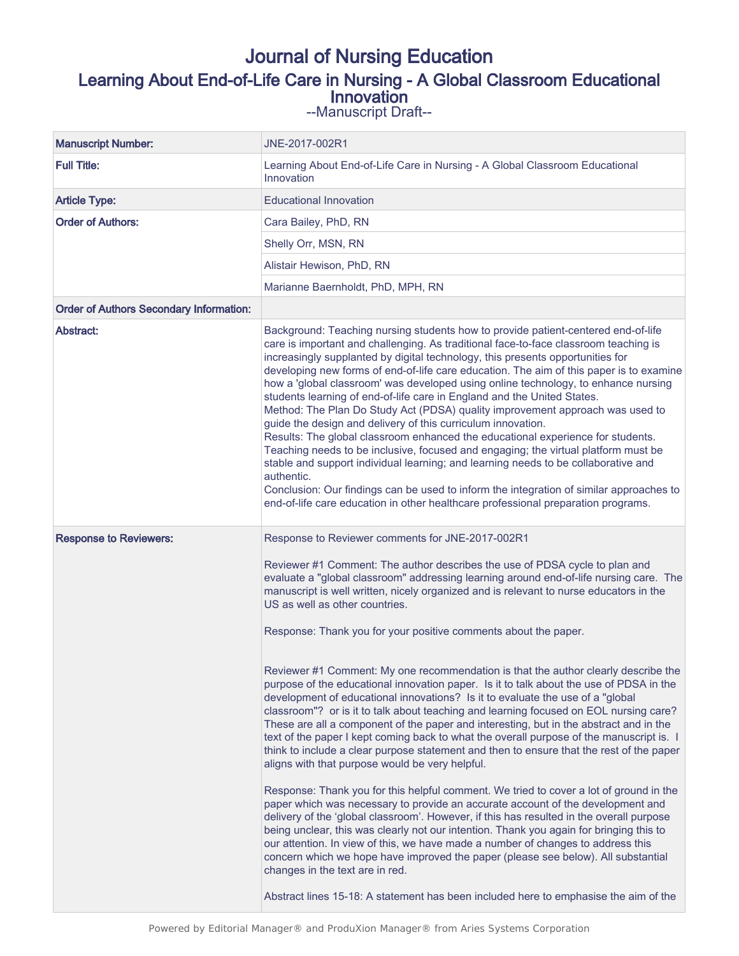# Journal of Nursing Education Learning About End-of-Life Care in Nursing - A Global Classroom Educational Innovation

--Manuscript Draft--

| <b>Manuscript Number:</b>                      | JNE-2017-002R1                                                                                                                                                                                                                                                                                                                                                                                                                                                                                                                                                                                                                                                                                                                                                                                                                                                                                                                                                                                                                                                                                                                                                                                                                                     |
|------------------------------------------------|----------------------------------------------------------------------------------------------------------------------------------------------------------------------------------------------------------------------------------------------------------------------------------------------------------------------------------------------------------------------------------------------------------------------------------------------------------------------------------------------------------------------------------------------------------------------------------------------------------------------------------------------------------------------------------------------------------------------------------------------------------------------------------------------------------------------------------------------------------------------------------------------------------------------------------------------------------------------------------------------------------------------------------------------------------------------------------------------------------------------------------------------------------------------------------------------------------------------------------------------------|
| <b>Full Title:</b>                             | Learning About End-of-Life Care in Nursing - A Global Classroom Educational<br>Innovation                                                                                                                                                                                                                                                                                                                                                                                                                                                                                                                                                                                                                                                                                                                                                                                                                                                                                                                                                                                                                                                                                                                                                          |
| <b>Article Type:</b>                           | <b>Educational Innovation</b>                                                                                                                                                                                                                                                                                                                                                                                                                                                                                                                                                                                                                                                                                                                                                                                                                                                                                                                                                                                                                                                                                                                                                                                                                      |
| <b>Order of Authors:</b>                       | Cara Bailey, PhD, RN                                                                                                                                                                                                                                                                                                                                                                                                                                                                                                                                                                                                                                                                                                                                                                                                                                                                                                                                                                                                                                                                                                                                                                                                                               |
|                                                | Shelly Orr, MSN, RN                                                                                                                                                                                                                                                                                                                                                                                                                                                                                                                                                                                                                                                                                                                                                                                                                                                                                                                                                                                                                                                                                                                                                                                                                                |
|                                                | Alistair Hewison, PhD, RN                                                                                                                                                                                                                                                                                                                                                                                                                                                                                                                                                                                                                                                                                                                                                                                                                                                                                                                                                                                                                                                                                                                                                                                                                          |
|                                                | Marianne Baernholdt, PhD, MPH, RN                                                                                                                                                                                                                                                                                                                                                                                                                                                                                                                                                                                                                                                                                                                                                                                                                                                                                                                                                                                                                                                                                                                                                                                                                  |
| <b>Order of Authors Secondary Information:</b> |                                                                                                                                                                                                                                                                                                                                                                                                                                                                                                                                                                                                                                                                                                                                                                                                                                                                                                                                                                                                                                                                                                                                                                                                                                                    |
| <b>Abstract:</b>                               | Background: Teaching nursing students how to provide patient-centered end-of-life<br>care is important and challenging. As traditional face-to-face classroom teaching is<br>increasingly supplanted by digital technology, this presents opportunities for<br>developing new forms of end-of-life care education. The aim of this paper is to examine<br>how a 'global classroom' was developed using online technology, to enhance nursing<br>students learning of end-of-life care in England and the United States.<br>Method: The Plan Do Study Act (PDSA) quality improvement approach was used to<br>guide the design and delivery of this curriculum innovation.<br>Results: The global classroom enhanced the educational experience for students.<br>Teaching needs to be inclusive, focused and engaging; the virtual platform must be<br>stable and support individual learning; and learning needs to be collaborative and<br>authentic.<br>Conclusion: Our findings can be used to inform the integration of similar approaches to<br>end-of-life care education in other healthcare professional preparation programs.                                                                                                              |
|                                                | Reviewer #1 Comment: The author describes the use of PDSA cycle to plan and<br>evaluate a "global classroom" addressing learning around end-of-life nursing care. The<br>manuscript is well written, nicely organized and is relevant to nurse educators in the<br>US as well as other countries.<br>Response: Thank you for your positive comments about the paper.<br>Reviewer #1 Comment: My one recommendation is that the author clearly describe the<br>purpose of the educational innovation paper. Is it to talk about the use of PDSA in the<br>development of educational innovations? Is it to evaluate the use of a "global<br>classroom"? or is it to talk about teaching and learning focused on EOL nursing care?<br>These are all a component of the paper and interesting, but in the abstract and in the<br>text of the paper I kept coming back to what the overall purpose of the manuscript is. I<br>think to include a clear purpose statement and then to ensure that the rest of the paper<br>aligns with that purpose would be very helpful.<br>Response: Thank you for this helpful comment. We tried to cover a lot of ground in the<br>paper which was necessary to provide an accurate account of the development and |
|                                                | delivery of the 'global classroom'. However, if this has resulted in the overall purpose<br>being unclear, this was clearly not our intention. Thank you again for bringing this to<br>our attention. In view of this, we have made a number of changes to address this<br>concern which we hope have improved the paper (please see below). All substantial<br>changes in the text are in red.<br>Abstract lines 15-18: A statement has been included here to emphasise the aim of the                                                                                                                                                                                                                                                                                                                                                                                                                                                                                                                                                                                                                                                                                                                                                            |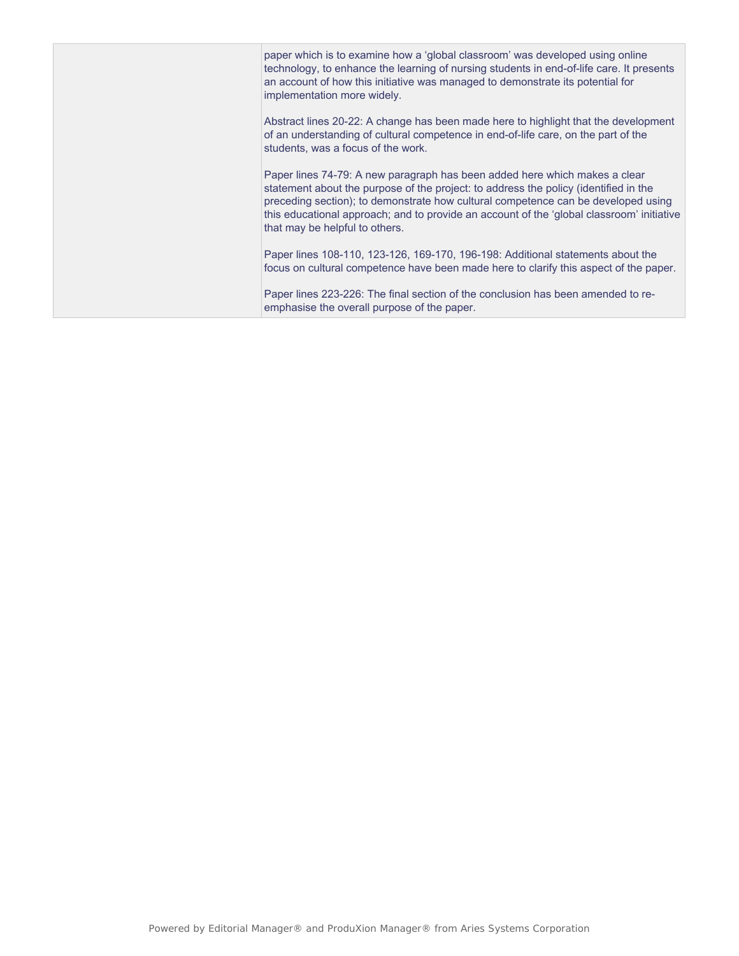| paper which is to examine how a 'global classroom' was developed using online<br>technology, to enhance the learning of nursing students in end-of-life care. It presents<br>an account of how this initiative was managed to demonstrate its potential for<br>implementation more widely.                                                                                             |
|----------------------------------------------------------------------------------------------------------------------------------------------------------------------------------------------------------------------------------------------------------------------------------------------------------------------------------------------------------------------------------------|
| Abstract lines 20-22: A change has been made here to highlight that the development<br>of an understanding of cultural competence in end-of-life care, on the part of the<br>students, was a focus of the work.                                                                                                                                                                        |
| Paper lines 74-79: A new paragraph has been added here which makes a clear<br>statement about the purpose of the project: to address the policy (identified in the<br>preceding section); to demonstrate how cultural competence can be developed using<br>this educational approach; and to provide an account of the 'global classroom' initiative<br>that may be helpful to others. |
| Paper lines 108-110, 123-126, 169-170, 196-198: Additional statements about the<br>focus on cultural competence have been made here to clarify this aspect of the paper.                                                                                                                                                                                                               |
| Paper lines 223-226: The final section of the conclusion has been amended to re-<br>emphasise the overall purpose of the paper.                                                                                                                                                                                                                                                        |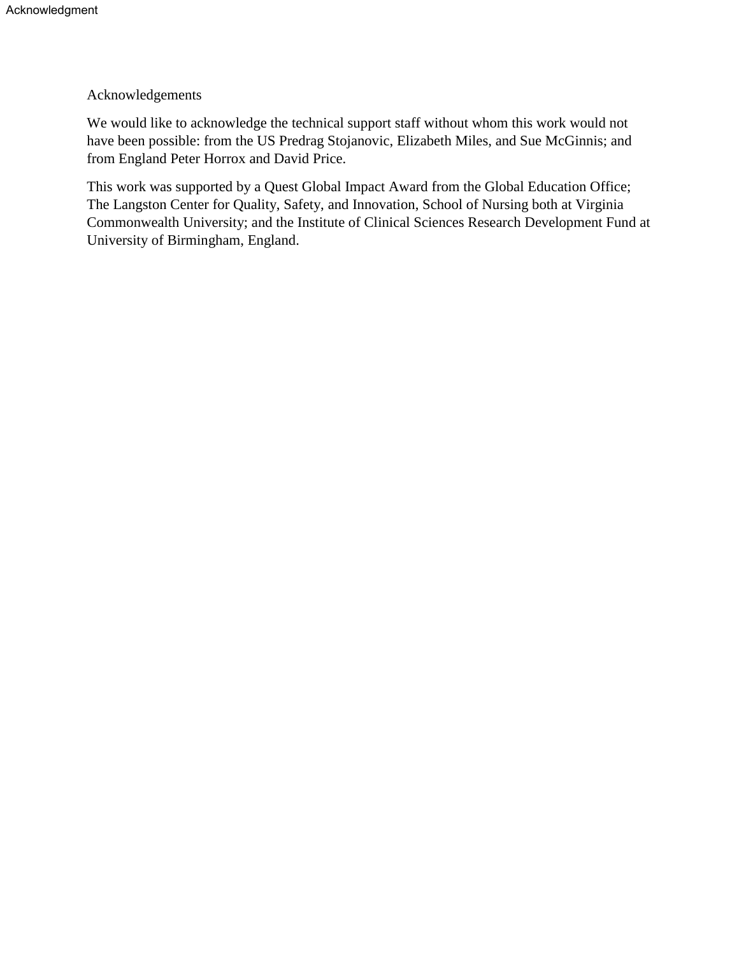## Acknowledgements

We would like to acknowledge the technical support staff without whom this work would not have been possible: from the US Predrag Stojanovic, Elizabeth Miles, and Sue McGinnis; and from England Peter Horrox and David Price.

This work was supported by a Quest Global Impact Award from the Global Education Office; The Langston Center for Quality, Safety, and Innovation, School of Nursing both at Virginia Commonwealth University; and the Institute of Clinical Sciences Research Development Fund at University of Birmingham, England.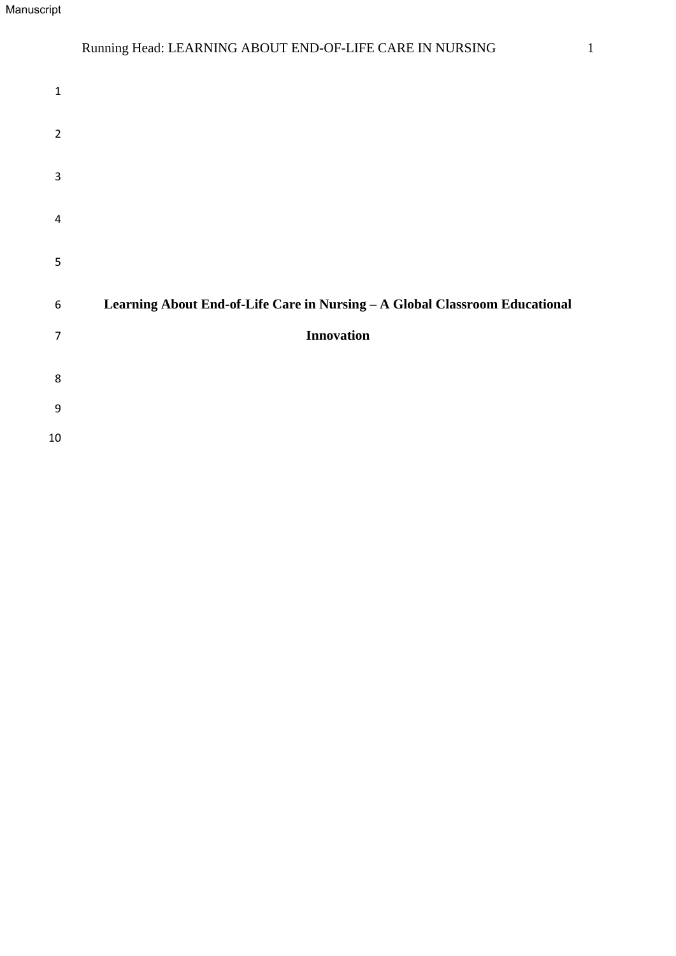## Running Head: LEARNING ABOUT END-OF-LIFE CARE IN NURSING 1

| $\mathbf 1$             |                                                                             |
|-------------------------|-----------------------------------------------------------------------------|
| $\overline{2}$          |                                                                             |
| $\mathbf{3}$            |                                                                             |
| $\overline{\mathbf{4}}$ |                                                                             |
| $\mathsf S$             |                                                                             |
| $\boldsymbol{6}$        | Learning About End-of-Life Care in Nursing - A Global Classroom Educational |
| $\overline{7}$          | <b>Innovation</b>                                                           |
| 8                       |                                                                             |
| $\boldsymbol{9}$        |                                                                             |
| $10\,$                  |                                                                             |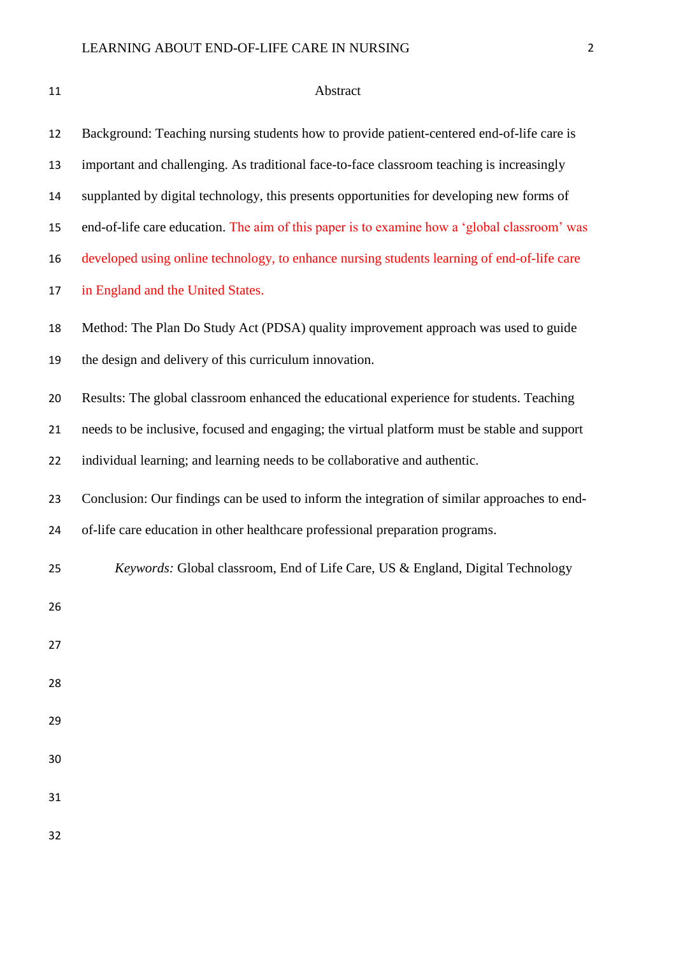| 11 | Abstract                                                                                     |
|----|----------------------------------------------------------------------------------------------|
| 12 | Background: Teaching nursing students how to provide patient-centered end-of-life care is    |
| 13 | important and challenging. As traditional face-to-face classroom teaching is increasingly    |
| 14 | supplanted by digital technology, this presents opportunities for developing new forms of    |
| 15 | end-of-life care education. The aim of this paper is to examine how a 'global classroom' was |
| 16 | developed using online technology, to enhance nursing students learning of end-of-life care  |
| 17 | in England and the United States.                                                            |
| 18 | Method: The Plan Do Study Act (PDSA) quality improvement approach was used to guide          |
| 19 | the design and delivery of this curriculum innovation.                                       |
| 20 | Results: The global classroom enhanced the educational experience for students. Teaching     |
| 21 | needs to be inclusive, focused and engaging; the virtual platform must be stable and support |
| 22 | individual learning; and learning needs to be collaborative and authentic.                   |
| 23 | Conclusion: Our findings can be used to inform the integration of similar approaches to end- |
| 24 | of-life care education in other healthcare professional preparation programs.                |
| 25 | Keywords: Global classroom, End of Life Care, US & England, Digital Technology               |
| 26 |                                                                                              |
| 27 |                                                                                              |
| 28 |                                                                                              |
| 29 |                                                                                              |
| 30 |                                                                                              |
| 31 |                                                                                              |
|    |                                                                                              |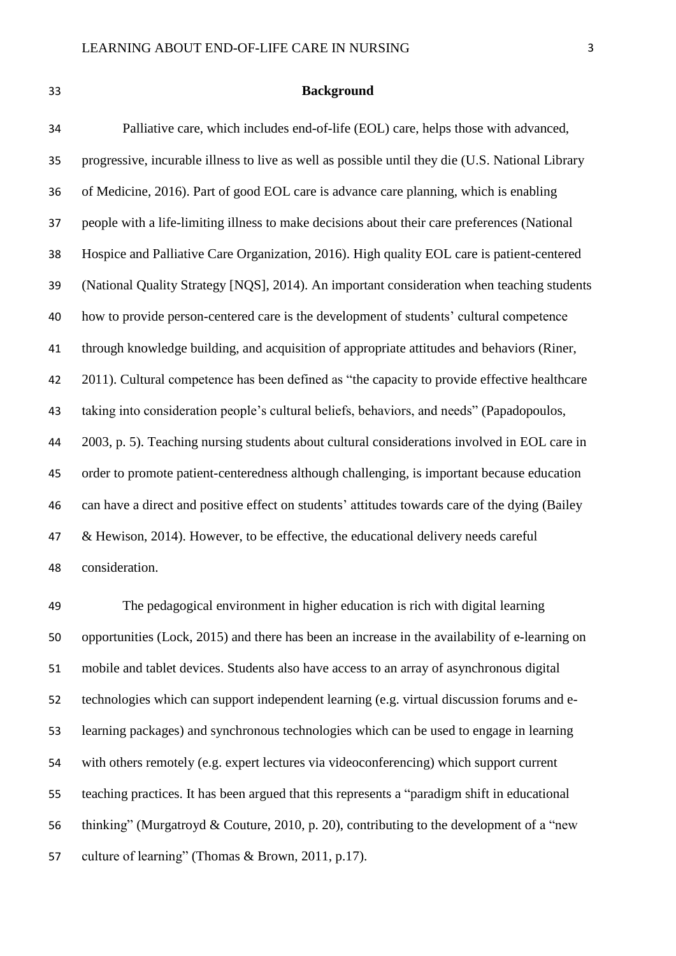#### **Background**

 Palliative care, which includes end-of-life (EOL) care, helps those with advanced, progressive, incurable illness to live as well as possible until they die (U.S. National Library of Medicine, 2016). Part of good EOL care is advance care planning, which is enabling people with a life-limiting illness to make decisions about their care preferences (National Hospice and Palliative Care Organization, 2016). High quality EOL care is patient-centered (National Quality Strategy [NQS], 2014). An important consideration when teaching students how to provide person-centered care is the development of students' cultural competence through knowledge building, and acquisition of appropriate attitudes and behaviors (Riner, 2011). Cultural competence has been defined as "the capacity to provide effective healthcare taking into consideration people's cultural beliefs, behaviors, and needs" (Papadopoulos, 2003, p. 5). Teaching nursing students about cultural considerations involved in EOL care in order to promote patient-centeredness although challenging, is important because education can have a direct and positive effect on students' attitudes towards care of the dying (Bailey & Hewison, 2014). However, to be effective, the educational delivery needs careful consideration.

 The pedagogical environment in higher education is rich with digital learning opportunities (Lock, 2015) and there has been an increase in the availability of e-learning on mobile and tablet devices. Students also have access to an array of asynchronous digital technologies which can support independent learning (e.g. virtual discussion forums and e- learning packages) and synchronous technologies which can be used to engage in learning with others remotely (e.g. expert lectures via videoconferencing) which support current teaching practices. It has been argued that this represents a "paradigm shift in educational thinking" (Murgatroyd & Couture, 2010, p. 20), contributing to the development of a "new culture of learning" (Thomas & Brown, 2011, p.17).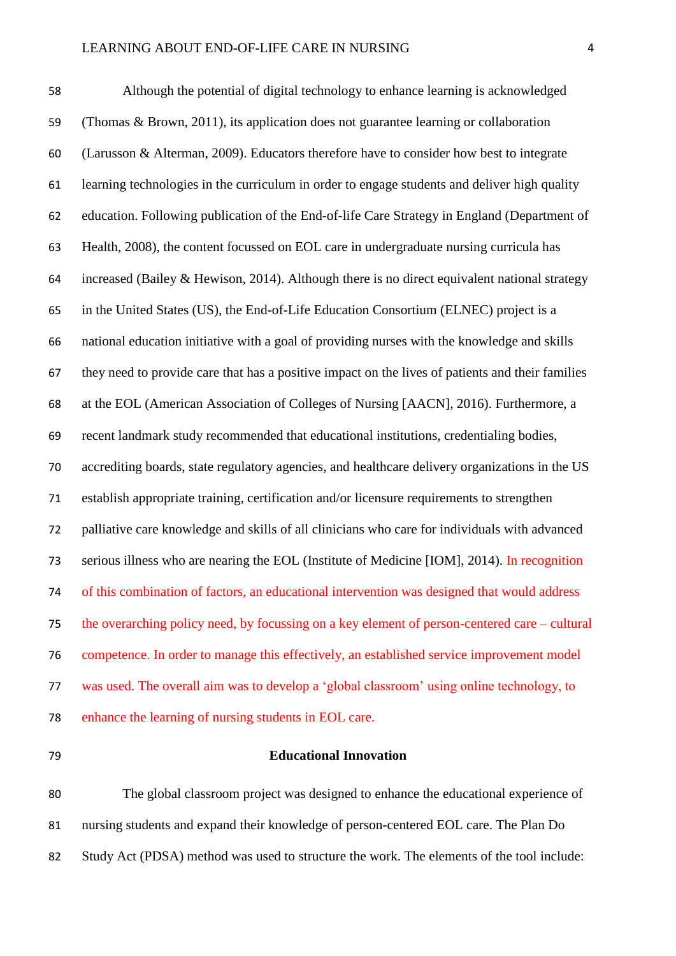Although the potential of digital technology to enhance learning is acknowledged (Thomas & Brown, 2011), its application does not guarantee learning or collaboration (Larusson & Alterman, 2009). Educators therefore have to consider how best to integrate learning technologies in the curriculum in order to engage students and deliver high quality education. Following publication of the End-of-life Care Strategy in England (Department of Health, 2008), the content focussed on EOL care in undergraduate nursing curricula has 64 increased (Bailey & Hewison, 2014). Although there is no direct equivalent national strategy in the United States (US), the End-of-Life Education Consortium (ELNEC) project is a national education initiative with a goal of providing nurses with the knowledge and skills they need to provide care that has a positive impact on the lives of patients and their families at the EOL (American Association of Colleges of Nursing [AACN], 2016). Furthermore, a recent landmark study recommended that educational institutions, credentialing bodies, accrediting boards, state regulatory agencies, and healthcare delivery organizations in the US establish appropriate training, certification and/or licensure requirements to strengthen palliative care knowledge and skills of all clinicians who care for individuals with advanced serious illness who are nearing the EOL (Institute of Medicine [IOM], 2014). In recognition of this combination of factors, an educational intervention was designed that would address the overarching policy need, by focussing on a key element of person-centered care – cultural competence. In order to manage this effectively, an established service improvement model was used. The overall aim was to develop a 'global classroom' using online technology, to enhance the learning of nursing students in EOL care.

#### **Educational Innovation**

 The global classroom project was designed to enhance the educational experience of nursing students and expand their knowledge of person-centered EOL care. The Plan Do Study Act (PDSA) method was used to structure the work. The elements of the tool include: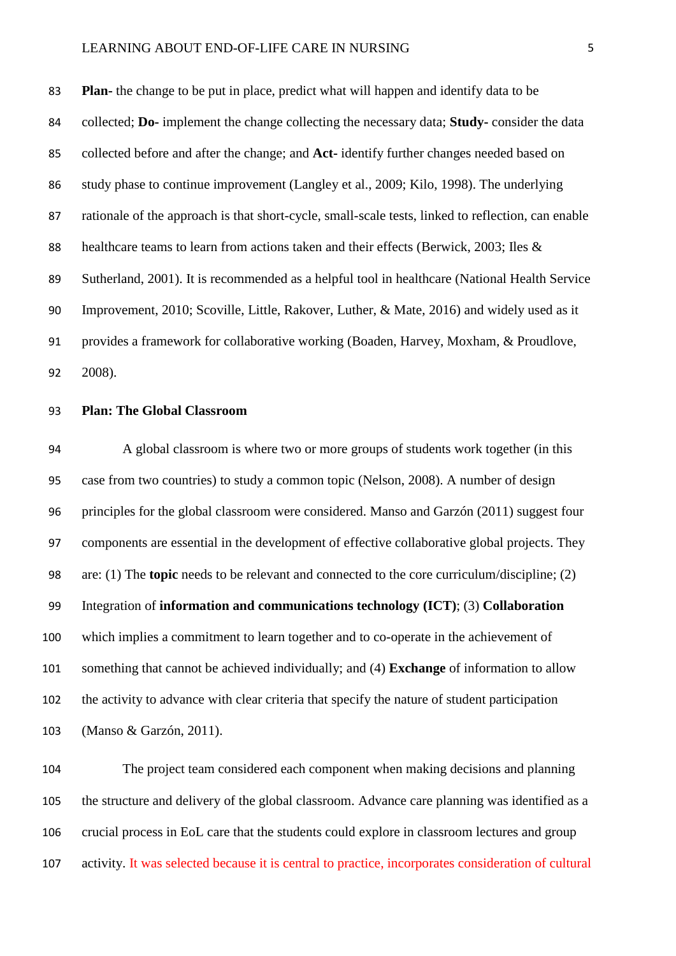#### LEARNING ABOUT END-OF-LIFE CARE IN NURSING 5

 **Plan-** the change to be put in place, predict what will happen and identify data to be collected; **Do-** implement the change collecting the necessary data; **Study-** consider the data collected before and after the change; and **Act-** identify further changes needed based on study phase to continue improvement (Langley et al., 2009; Kilo, 1998). The underlying rationale of the approach is that short-cycle, small-scale tests, linked to reflection, can enable healthcare teams to learn from actions taken and their effects (Berwick, 2003; Iles & Sutherland, 2001). It is recommended as a helpful tool in healthcare (National Health Service Improvement, 2010; Scoville, Little, Rakover, Luther, & Mate, 2016) and widely used as it provides a framework for collaborative working (Boaden, Harvey, Moxham, & Proudlove, 2008).

#### **Plan: The Global Classroom**

 A global classroom is where two or more groups of students work together (in this case from two countries) to study a common topic (Nelson, 2008). A number of design principles for the global classroom were considered. Manso and Garzón (2011) suggest four components are essential in the development of effective collaborative global projects. They are: (1) The **topic** needs to be relevant and connected to the core curriculum/discipline; (2) Integration of **information and communications technology (ICT)**; (3) **Collaboration** which implies a commitment to learn together and to co-operate in the achievement of something that cannot be achieved individually; and (4) **Exchange** of information to allow the activity to advance with clear criteria that specify the nature of student participation (Manso & Garzón, 2011).

 The project team considered each component when making decisions and planning the structure and delivery of the global classroom. Advance care planning was identified as a crucial process in EoL care that the students could explore in classroom lectures and group activity. It was selected because it is central to practice, incorporates consideration of cultural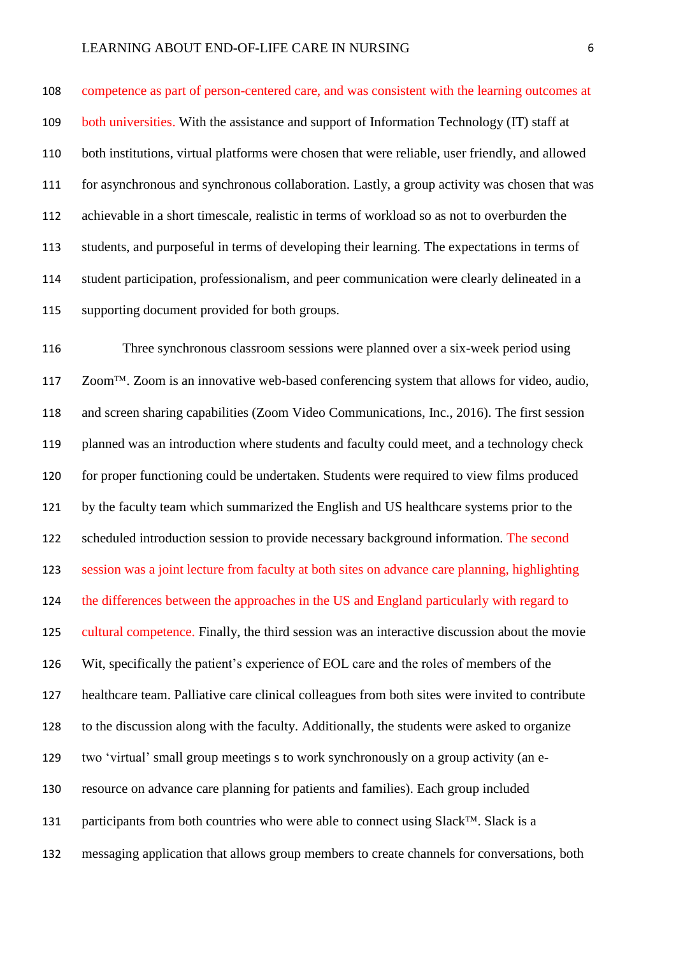competence as part of person-centered care, and was consistent with the learning outcomes at both universities. With the assistance and support of Information Technology (IT) staff at both institutions, virtual platforms were chosen that were reliable, user friendly, and allowed for asynchronous and synchronous collaboration. Lastly, a group activity was chosen that was achievable in a short timescale, realistic in terms of workload so as not to overburden the students, and purposeful in terms of developing their learning. The expectations in terms of student participation, professionalism, and peer communication were clearly delineated in a supporting document provided for both groups.

 Three synchronous classroom sessions were planned over a six-week period using Zoom<sup>TM</sup>. Zoom is an innovative web-based conferencing system that allows for video, audio, and screen sharing capabilities (Zoom Video Communications, Inc., 2016). The first session planned was an introduction where students and faculty could meet, and a technology check for proper functioning could be undertaken. Students were required to view films produced by the faculty team which summarized the English and US healthcare systems prior to the scheduled introduction session to provide necessary background information. The second session was a joint lecture from faculty at both sites on advance care planning, highlighting 124 the differences between the approaches in the US and England particularly with regard to cultural competence. Finally, the third session was an interactive discussion about the movie Wit, specifically the patient's experience of EOL care and the roles of members of the healthcare team. Palliative care clinical colleagues from both sites were invited to contribute to the discussion along with the faculty. Additionally, the students were asked to organize two 'virtual' small group meetings s to work synchronously on a group activity (an e- resource on advance care planning for patients and families). Each group included 131 participants from both countries who were able to connect using Slack<sup>TM</sup>. Slack is a messaging application that allows group members to create channels for conversations, both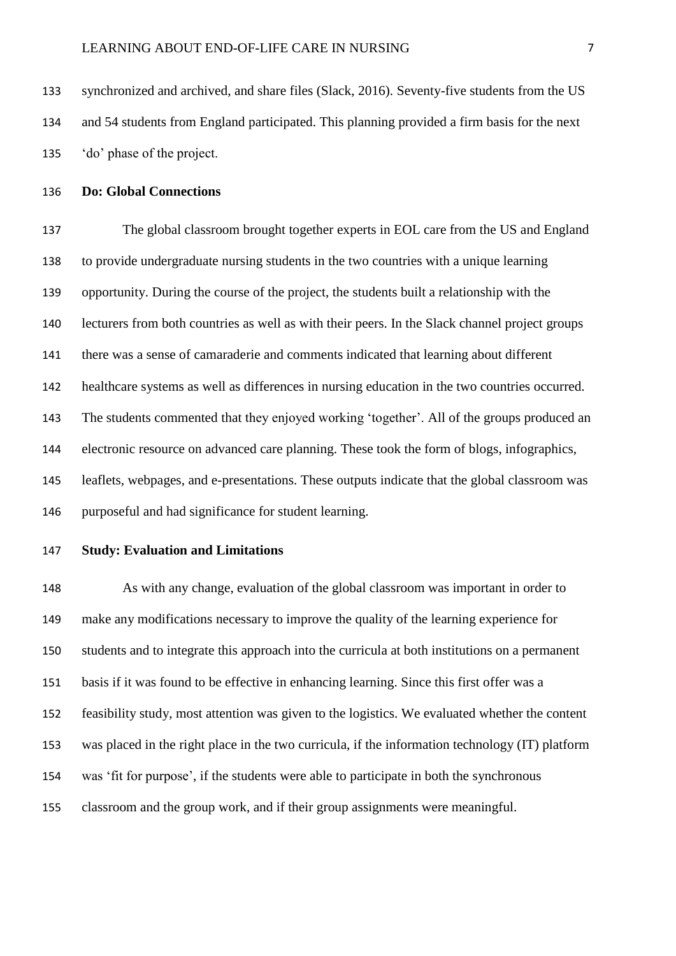synchronized and archived, and share files (Slack, 2016). Seventy-five students from the US and 54 students from England participated. This planning provided a firm basis for the next 'do' phase of the project.

#### **Do: Global Connections**

 The global classroom brought together experts in EOL care from the US and England to provide undergraduate nursing students in the two countries with a unique learning opportunity. During the course of the project, the students built a relationship with the lecturers from both countries as well as with their peers. In the Slack channel project groups there was a sense of camaraderie and comments indicated that learning about different healthcare systems as well as differences in nursing education in the two countries occurred. The students commented that they enjoyed working 'together'. All of the groups produced an electronic resource on advanced care planning. These took the form of blogs, infographics, leaflets, webpages, and e-presentations. These outputs indicate that the global classroom was purposeful and had significance for student learning.

## **Study: Evaluation and Limitations**

 As with any change, evaluation of the global classroom was important in order to make any modifications necessary to improve the quality of the learning experience for students and to integrate this approach into the curricula at both institutions on a permanent basis if it was found to be effective in enhancing learning. Since this first offer was a feasibility study, most attention was given to the logistics. We evaluated whether the content was placed in the right place in the two curricula, if the information technology (IT) platform was 'fit for purpose', if the students were able to participate in both the synchronous classroom and the group work, and if their group assignments were meaningful.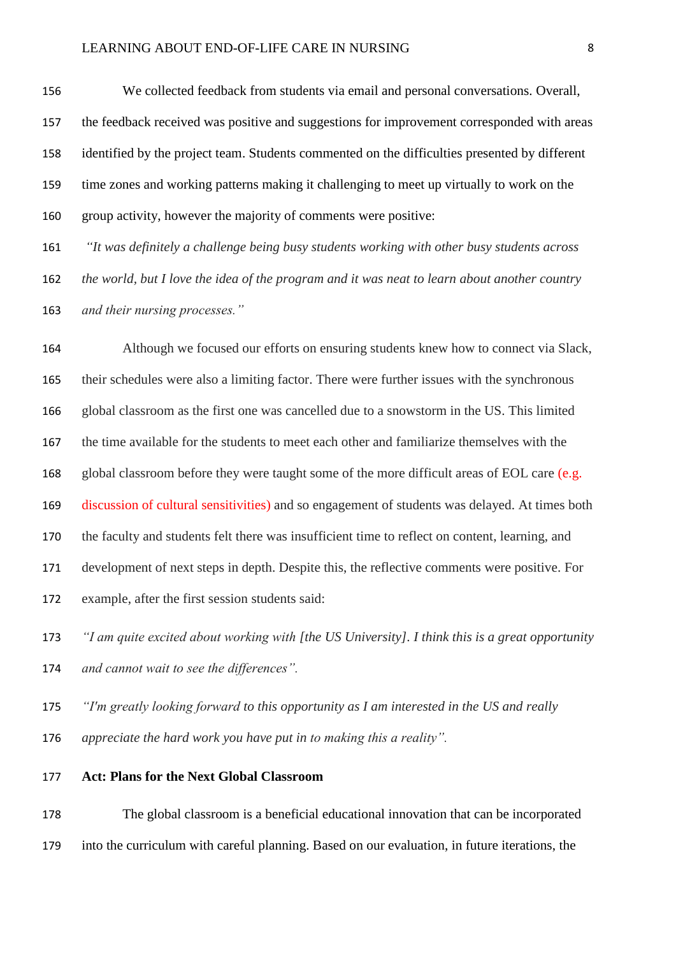We collected feedback from students via email and personal conversations. Overall, the feedback received was positive and suggestions for improvement corresponded with areas identified by the project team. Students commented on the difficulties presented by different time zones and working patterns making it challenging to meet up virtually to work on the group activity, however the majority of comments were positive:

 *"It was definitely a challenge being busy students working with other busy students across the world, but I love the idea of the program and it was neat to learn about another country and their nursing processes."*

 Although we focused our efforts on ensuring students knew how to connect via Slack, their schedules were also a limiting factor. There were further issues with the synchronous global classroom as the first one was cancelled due to a snowstorm in the US. This limited the time available for the students to meet each other and familiarize themselves with the 168 global classroom before they were taught some of the more difficult areas of EOL care (e.g. discussion of cultural sensitivities) and so engagement of students was delayed. At times both the faculty and students felt there was insufficient time to reflect on content, learning, and development of next steps in depth. Despite this, the reflective comments were positive. For example, after the first session students said:

 *"I am quite excited about working with [the US University]. I think this is a great opportunity and cannot wait to see the differences".*

*"I'm greatly looking forward to this opportunity as I am interested in the US and really* 

*appreciate the hard work you have put in to making this a reality".*

#### **Act: Plans for the Next Global Classroom**

 The global classroom is a beneficial educational innovation that can be incorporated into the curriculum with careful planning. Based on our evaluation, in future iterations, the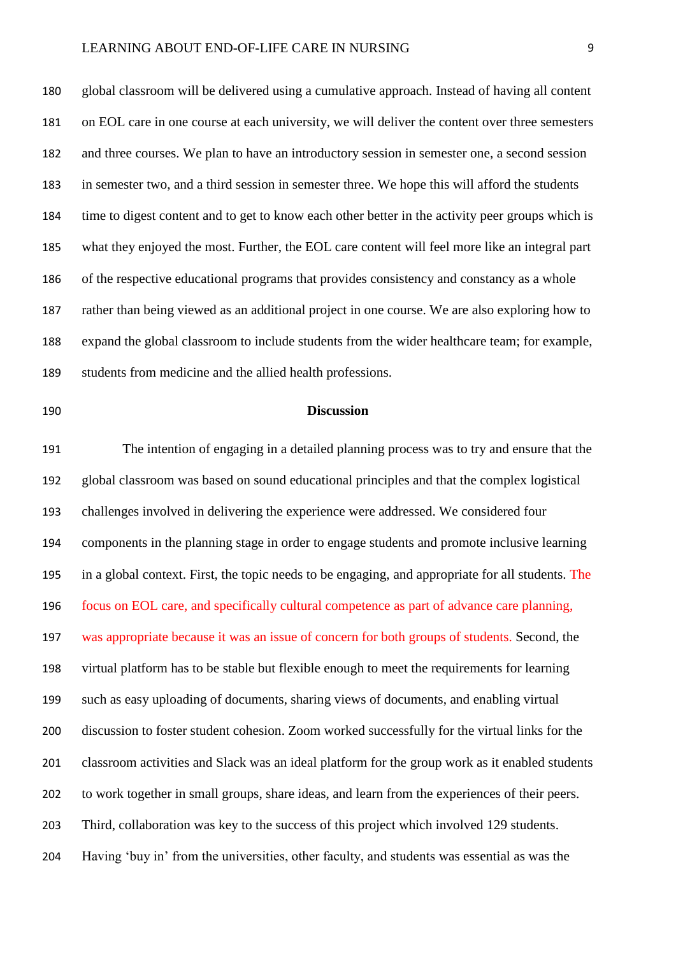### LEARNING ABOUT END-OF-LIFE CARE IN NURSING 9

 global classroom will be delivered using a cumulative approach. Instead of having all content on EOL care in one course at each university, we will deliver the content over three semesters and three courses. We plan to have an introductory session in semester one, a second session in semester two, and a third session in semester three. We hope this will afford the students time to digest content and to get to know each other better in the activity peer groups which is what they enjoyed the most. Further, the EOL care content will feel more like an integral part of the respective educational programs that provides consistency and constancy as a whole rather than being viewed as an additional project in one course. We are also exploring how to expand the global classroom to include students from the wider healthcare team; for example, students from medicine and the allied health professions.

#### **Discussion**

 The intention of engaging in a detailed planning process was to try and ensure that the global classroom was based on sound educational principles and that the complex logistical challenges involved in delivering the experience were addressed. We considered four components in the planning stage in order to engage students and promote inclusive learning in a global context. First, the topic needs to be engaging, and appropriate for all students. The focus on EOL care, and specifically cultural competence as part of advance care planning, was appropriate because it was an issue of concern for both groups of students. Second, the virtual platform has to be stable but flexible enough to meet the requirements for learning such as easy uploading of documents, sharing views of documents, and enabling virtual discussion to foster student cohesion. Zoom worked successfully for the virtual links for the classroom activities and Slack was an ideal platform for the group work as it enabled students to work together in small groups, share ideas, and learn from the experiences of their peers. Third, collaboration was key to the success of this project which involved 129 students. Having 'buy in' from the universities, other faculty, and students was essential as was the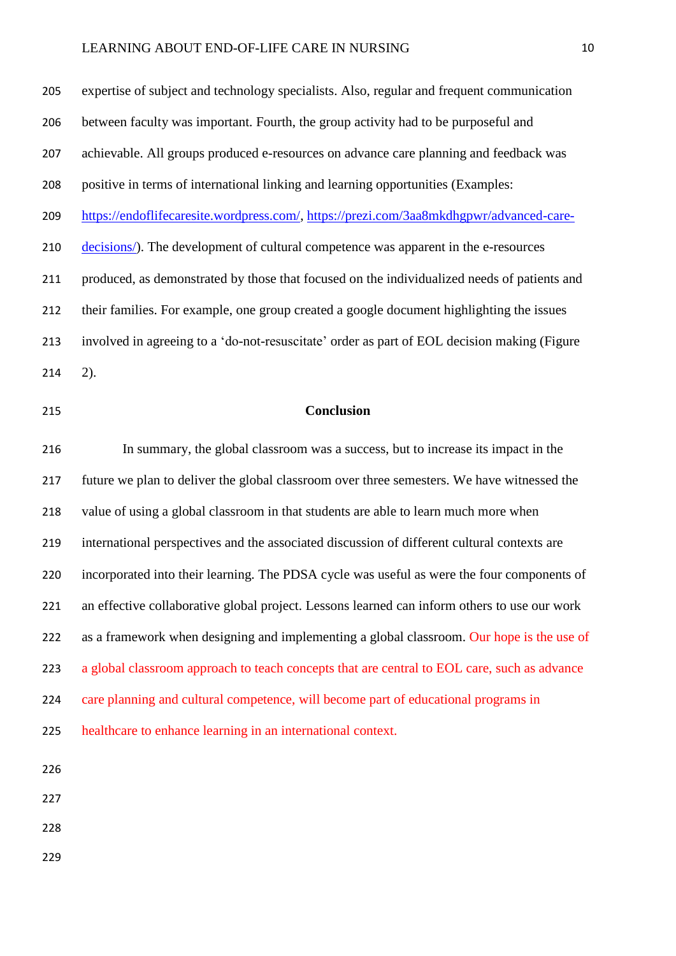#### LEARNING ABOUT END-OF-LIFE CARE IN NURSING 10

 expertise of subject and technology specialists. Also, regular and frequent communication between faculty was important. Fourth, the group activity had to be purposeful and achievable. All groups produced e-resources on advance care planning and feedback was positive in terms of international linking and learning opportunities (Examples: [https://endoflifecaresite.wordpress.com/,](https://endoflifecaresite.wordpress.com/) [https://prezi.com/3aa8mkdhgpwr/advanced-care-](https://prezi.com/3aa8mkdhgpwr/advanced-care-decisions/) [decisions/\)](https://prezi.com/3aa8mkdhgpwr/advanced-care-decisions/). The development of cultural competence was apparent in the e-resources produced, as demonstrated by those that focused on the individualized needs of patients and their families. For example, one group created a google document highlighting the issues involved in agreeing to a 'do-not-resuscitate' order as part of EOL decision making (Figure 2).

#### **Conclusion**

 In summary, the global classroom was a success, but to increase its impact in the future we plan to deliver the global classroom over three semesters. We have witnessed the value of using a global classroom in that students are able to learn much more when international perspectives and the associated discussion of different cultural contexts are incorporated into their learning. The PDSA cycle was useful as were the four components of an effective collaborative global project. Lessons learned can inform others to use our work 222 as a framework when designing and implementing a global classroom. Our hope is the use of 223 a global classroom approach to teach concepts that are central to EOL care, such as advance care planning and cultural competence, will become part of educational programs in healthcare to enhance learning in an international context.

- 
- 
- 
-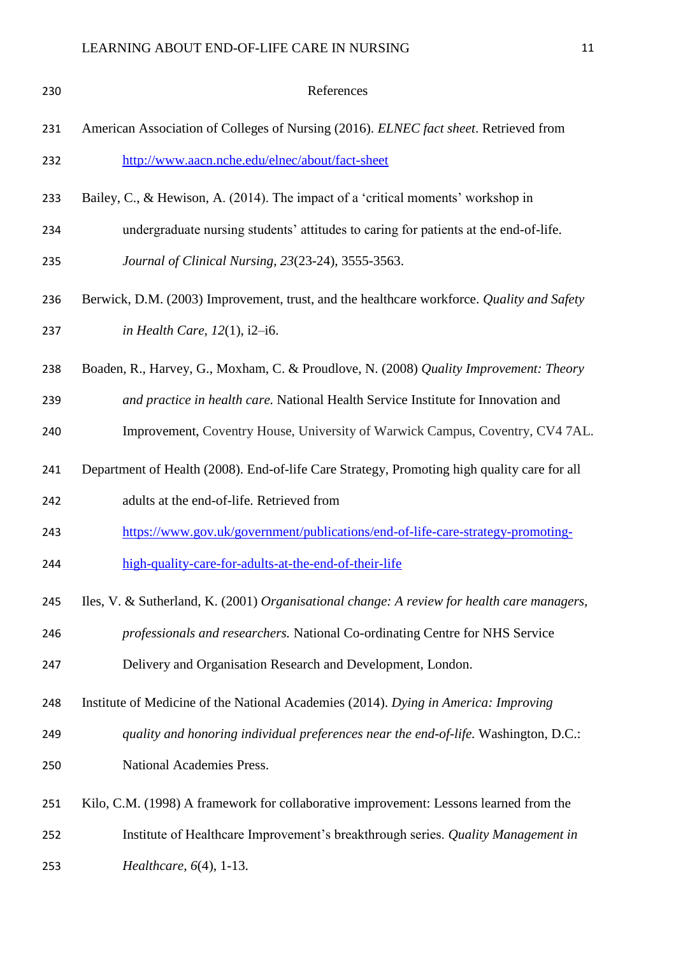| 230 | References                                                                                  |
|-----|---------------------------------------------------------------------------------------------|
| 231 | American Association of Colleges of Nursing (2016). ELNEC fact sheet. Retrieved from        |
| 232 | http://www.aacn.nche.edu/elnec/about/fact-sheet                                             |
| 233 | Bailey, C., & Hewison, A. (2014). The impact of a 'critical moments' workshop in            |
| 234 | undergraduate nursing students' attitudes to caring for patients at the end-of-life.        |
| 235 | Journal of Clinical Nursing, 23(23-24), 3555-3563.                                          |
| 236 | Berwick, D.M. (2003) Improvement, trust, and the healthcare workforce. Quality and Safety   |
| 237 | in Health Care, $12(1)$ , $i2-i6$ .                                                         |
| 238 | Boaden, R., Harvey, G., Moxham, C. & Proudlove, N. (2008) Quality Improvement: Theory       |
| 239 | and practice in health care. National Health Service Institute for Innovation and           |
| 240 | Improvement, Coventry House, University of Warwick Campus, Coventry, CV4 7AL.               |
| 241 | Department of Health (2008). End-of-life Care Strategy, Promoting high quality care for all |
| 242 | adults at the end-of-life. Retrieved from                                                   |
| 243 | https://www.gov.uk/government/publications/end-of-life-care-strategy-promoting-             |
| 244 | high-quality-care-for-adults-at-the-end-of-their-life                                       |
| 245 | Iles, V. & Sutherland, K. (2001) Organisational change: A review for health care managers,  |
| 246 | professionals and researchers. National Co-ordinating Centre for NHS Service                |
| 247 | Delivery and Organisation Research and Development, London.                                 |
| 248 | Institute of Medicine of the National Academies (2014). Dying in America: Improving         |
| 249 | quality and honoring individual preferences near the end-of-life. Washington, D.C.:         |
| 250 | National Academies Press.                                                                   |
| 251 | Kilo, C.M. (1998) A framework for collaborative improvement: Lessons learned from the       |
| 252 | Institute of Healthcare Improvement's breakthrough series. Quality Management in            |
| 253 | <i>Healthcare,</i> $6(4)$ , 1-13.                                                           |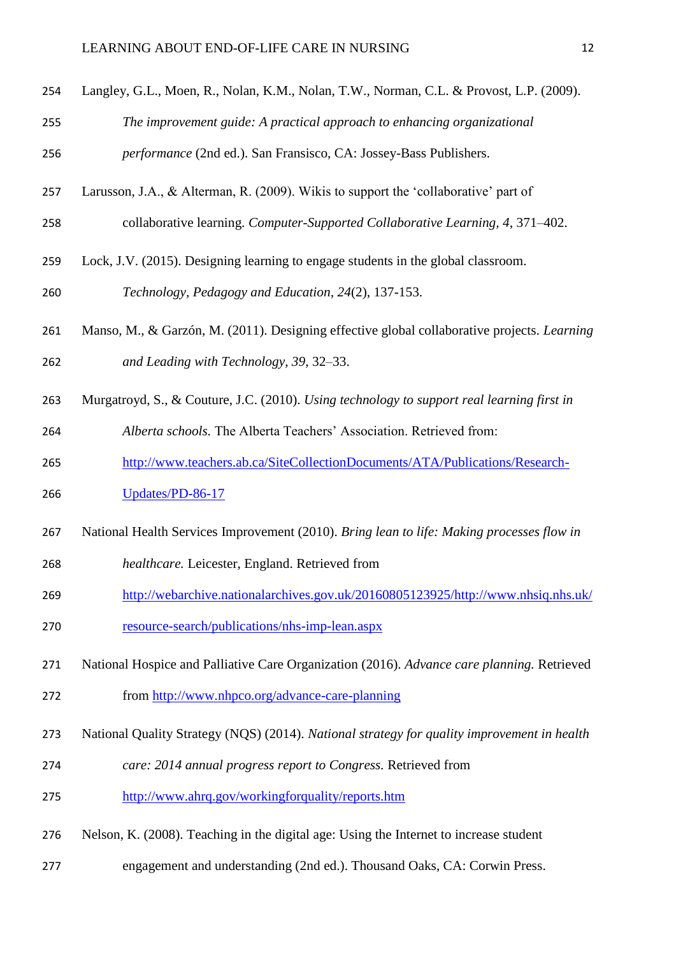- Langley, G.L., Moen, R., Nolan, K.M., Nolan, T.W., Norman, C.L. & Provost, L.P. (2009).
- *The improvement guide: A practical approach to enhancing organizational*

*performance* (2nd ed.). San Fransisco, CA: Jossey-Bass Publishers.

- Larusson, J.A., & Alterman, R. (2009). Wikis to support the 'collaborative' part of
- collaborative learning. *Computer-Supported Collaborative Learning, 4*, 371–402.
- Lock, J.V. (2015). Designing learning to engage students in the global classroom.

*Technology, Pedagogy and Education, 24*(2), 137-153.

- Manso, M., & Garzón, M. (2011). Designing effective global collaborative projects. *Learning and Leading with Technology, 39*, 32–33.
- Murgatroyd, S., & Couture, J.C. (2010). *Using technology to support real learning first in*
- *Alberta schools.* The Alberta Teachers' Association. Retrieved from:
- [http://www.teachers.ab.ca/SiteCollectionDocuments/ATA/Publications/Research-](http://www.teachers.ab.ca/SiteCollectionDocuments/ATA/Publications/Research-Updates/PD-86-17)
- [Updates/PD-86-17](http://www.teachers.ab.ca/SiteCollectionDocuments/ATA/Publications/Research-Updates/PD-86-17)
- National Health Services Improvement (2010). *Bring lean to life: Making processes flow in*
- *healthcare.* Leicester, England. Retrieved from
- [http://webarchive.nationalarchives.gov.uk/20160805123925/http://www.nhsiq.nhs.uk/](http://webarchive.nationalarchives.gov.uk/20160805123925/http:/www.nhsiq.nhs.uk/resource-search/publications/nhs-imp-lean.aspx)
- [resource-search/publications/nhs-imp-lean.aspx](http://webarchive.nationalarchives.gov.uk/20160805123925/http:/www.nhsiq.nhs.uk/resource-search/publications/nhs-imp-lean.aspx)
- National Hospice and Palliative Care Organization (2016). *Advance care planning.* Retrieved
- from<http://www.nhpco.org/advance-care-planning>
- National Quality Strategy (NQS) (2014). *National strategy for quality improvement in health*
- *care: 2014 annual progress report to Congress.* Retrieved from
- <http://www.ahrq.gov/workingforquality/reports.htm>
- Nelson, K. (2008). Teaching in the digital age: Using the Internet to increase student
- engagement and understanding (2nd ed.). Thousand Oaks, CA: Corwin Press.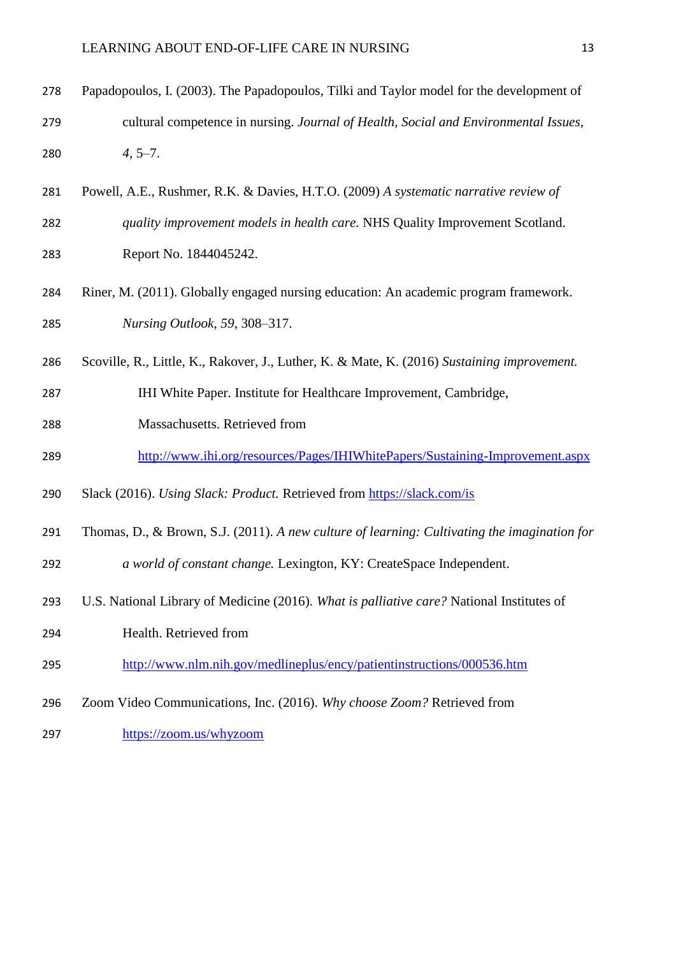| 278 | Papadopoulos, I. (2003). The Papadopoulos, Tilki and Taylor model for the development of |
|-----|------------------------------------------------------------------------------------------|
| 279 | cultural competence in nursing. Journal of Health, Social and Environmental Issues,      |
| 280 | $4, 5-7.$                                                                                |

- Powell, A.E., Rushmer, R.K. & Davies, H.T.O. (2009) *A systematic narrative review of quality improvement models in health care.* NHS Quality Improvement Scotland. Report No. 1844045242.
- Riner, M. (2011). Globally engaged nursing education: An academic program framework. *Nursing Outlook, 59*, 308–317.
- Scoville, R., Little, K., Rakover, J., Luther, K. & Mate, K. (2016) *Sustaining improvement.*
- IHI White Paper. Institute for Healthcare Improvement, Cambridge,
- Massachusetts. Retrieved from
- <http://www.ihi.org/resources/Pages/IHIWhitePapers/Sustaining-Improvement.aspx>
- Slack (2016). *Using Slack: Product.* Retrieved from<https://slack.com/is>
- Thomas, D., & Brown, S.J. (2011). *A new culture of learning: Cultivating the imagination for*
- *a world of constant change.* Lexington, KY: CreateSpace Independent.
- U.S. National Library of Medicine (2016). *What is palliative care?* National Institutes of
- Health. Retrieved from
- <http://www.nlm.nih.gov/medlineplus/ency/patientinstructions/000536.htm>
- Zoom Video Communications, Inc. (2016). *Why choose Zoom?* Retrieved from
- <https://zoom.us/whyzoom>